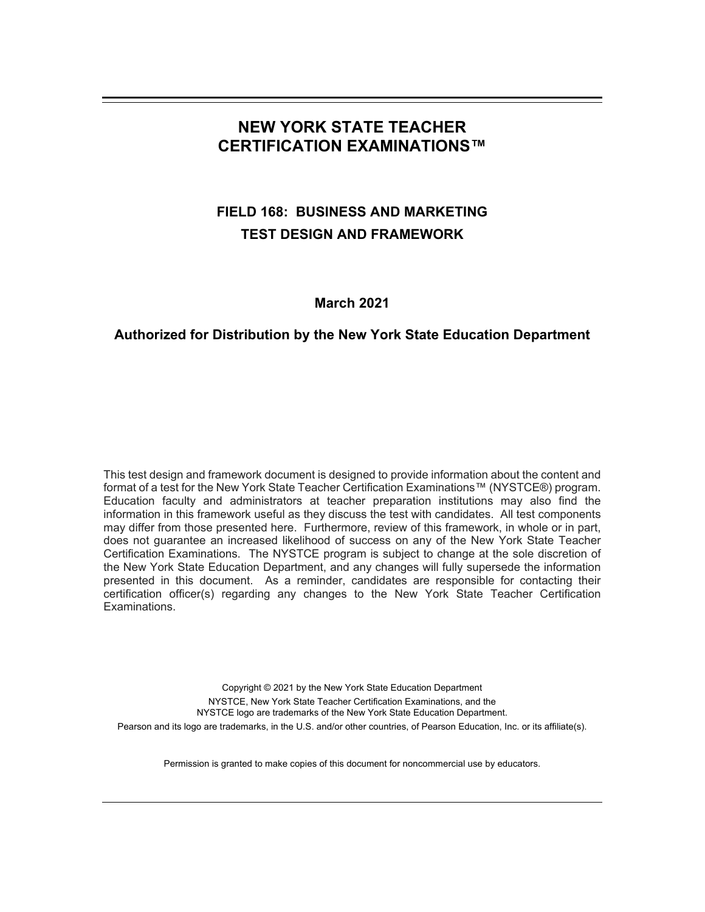# **NEW YORK STATE TEACHER CERTIFICATION EXAMINATIONS™**

# **FIELD 168: BUSINESS AND MARKETING TEST DESIGN AND FRAMEWORK**

# **March 2021**

# **Authorized for Distribution by the New York State Education Department**

This test design and framework document is designed to provide information about the content and format of a test for the New York State Teacher Certification Examinations™ (NYSTCE®) program. Education faculty and administrators at teacher preparation institutions may also find the information in this framework useful as they discuss the test with candidates. All test components may differ from those presented here. Furthermore, review of this framework, in whole or in part, does not guarantee an increased likelihood of success on any of the New York State Teacher Certification Examinations. The NYSTCE program is subject to change at the sole discretion of the New York State Education Department, and any changes will fully supersede the information presented in this document. As a reminder, candidates are responsible for contacting their certification officer(s) regarding any changes to the New York State Teacher Certification Examinations.

Copyright © 2021 by the New York State Education Department NYSTCE, New York State Teacher Certification Examinations, and the NYSTCE logo are trademarks of the New York State Education Department. Pearson and its logo are trademarks, in the U.S. and/or other countries, of Pearson Education, Inc. or its affiliate(s).

Permission is granted to make copies of this document for noncommercial use by educators.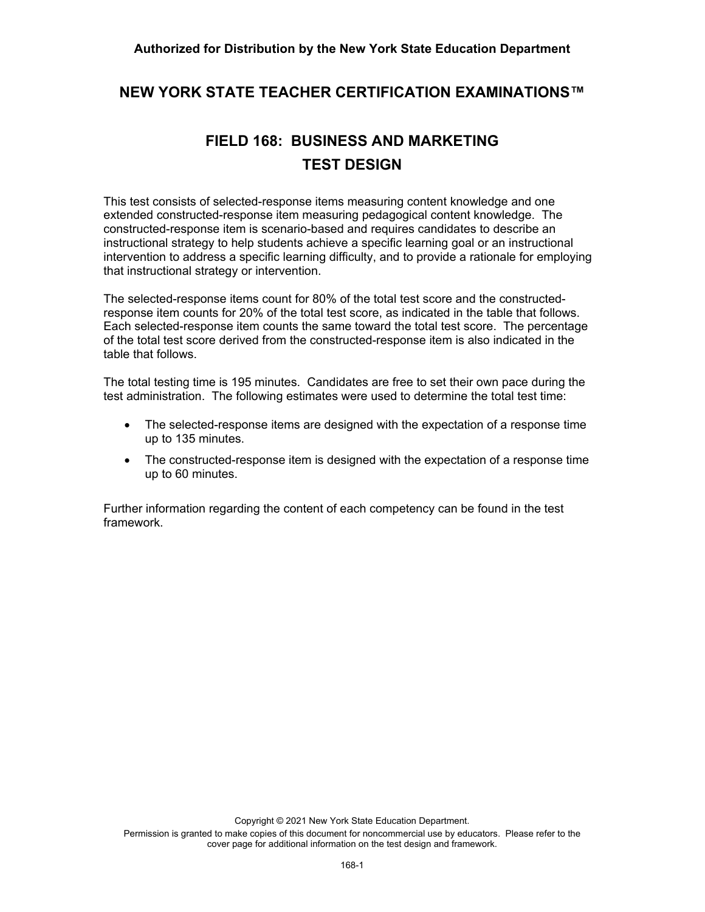#### **Authorized for Distribution by the New York State Education Department**

# **NEW YORK STATE TEACHER CERTIFICATION EXAMINATIONS™**

# **FIELD 168: BUSINESS AND MARKETING TEST DESIGN**

This test consists of selected-response items measuring content knowledge and one extended constructed-response item measuring pedagogical content knowledge. The constructed-response item is scenario-based and requires candidates to describe an instructional strategy to help students achieve a specific learning goal or an instructional intervention to address a specific learning difficulty, and to provide a rationale for employing that instructional strategy or intervention.

The selected-response items count for 80% of the total test score and the constructedresponse item counts for 20% of the total test score, as indicated in the table that follows. Each selected-response item counts the same toward the total test score. The percentage of the total test score derived from the constructed-response item is also indicated in the table that follows.

The total testing time is 195 minutes. Candidates are free to set their own pace during the test administration. The following estimates were used to determine the total test time:

- The selected-response items are designed with the expectation of a response time up to 135 minutes.
- The constructed-response item is designed with the expectation of a response time up to 60 minutes.

Further information regarding the content of each competency can be found in the test framework.

Copyright © 2021 New York State Education Department.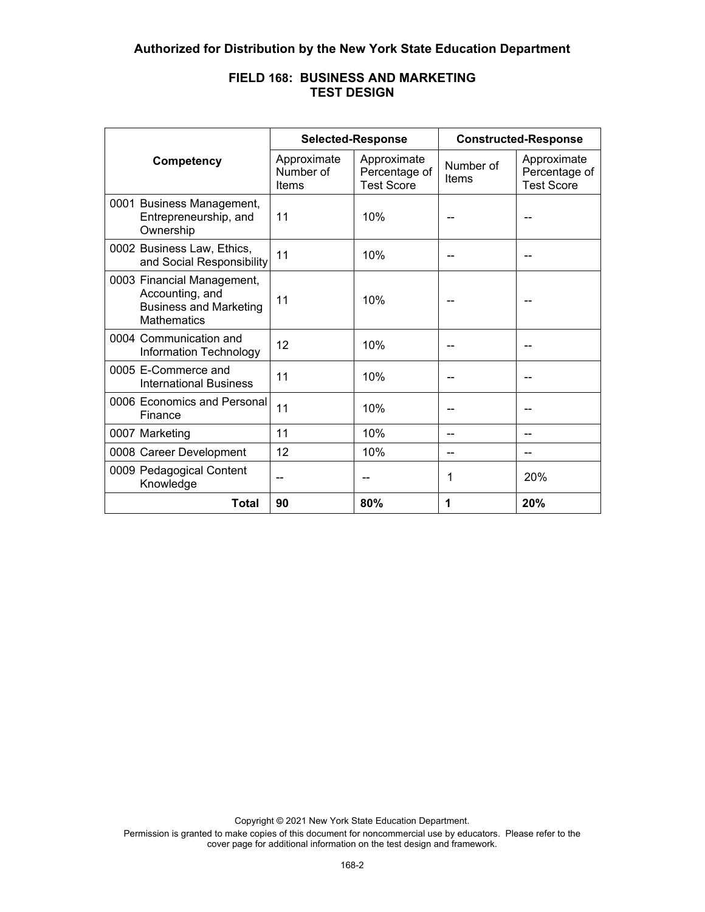|                                                                                                      | <b>Selected-Response</b>          |                                                   | <b>Constructed-Response</b> |                                                   |
|------------------------------------------------------------------------------------------------------|-----------------------------------|---------------------------------------------------|-----------------------------|---------------------------------------------------|
| Competency                                                                                           | Approximate<br>Number of<br>Items | Approximate<br>Percentage of<br><b>Test Score</b> | Number of<br><b>Items</b>   | Approximate<br>Percentage of<br><b>Test Score</b> |
| 0001 Business Management,<br>Entrepreneurship, and<br>Ownership                                      | 11                                | 10%                                               |                             |                                                   |
| 0002 Business Law, Ethics,<br>and Social Responsibility                                              | 11                                | 10%                                               |                             |                                                   |
| 0003 Financial Management,<br>Accounting, and<br><b>Business and Marketing</b><br><b>Mathematics</b> | 11                                | 10%                                               |                             |                                                   |
| 0004 Communication and<br>Information Technology                                                     | 12                                | 10%                                               |                             |                                                   |
| 0005 E-Commerce and<br><b>International Business</b>                                                 | 11                                | 10%                                               |                             |                                                   |
| 0006 Economics and Personal<br>Finance                                                               | 11                                | 10%                                               |                             |                                                   |
| 0007 Marketing                                                                                       | 11                                | 10%                                               |                             |                                                   |
| 0008 Career Development                                                                              | 12                                | 10%                                               |                             |                                                   |
| 0009 Pedagogical Content<br>Knowledge                                                                | --                                |                                                   | 1                           | 20%                                               |
| <b>Total</b>                                                                                         | 90                                | 80%                                               | 1                           | 20%                                               |

# **FIELD 168: BUSINESS AND MARKETING TEST DESIGN**

Copyright © 2021 New York State Education Department.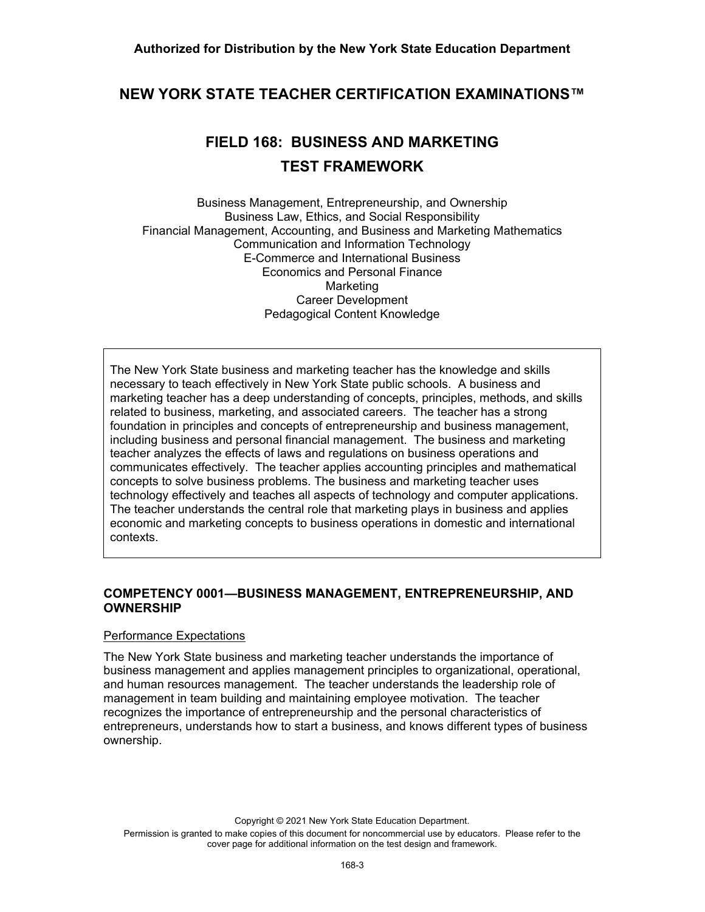# **NEW YORK STATE TEACHER CERTIFICATION EXAMINATIONS™**

# **FIELD 168: BUSINESS AND MARKETING TEST FRAMEWORK**

Business Management, Entrepreneurship, and Ownership Business Law, Ethics, and Social Responsibility Financial Management, Accounting, and Business and Marketing Mathematics Communication and Information Technology E-Commerce and International Business Economics and Personal Finance Marketing Career Development Pedagogical Content Knowledge

The New York State business and marketing teacher has the knowledge and skills necessary to teach effectively in New York State public schools. A business and marketing teacher has a deep understanding of concepts, principles, methods, and skills related to business, marketing, and associated careers. The teacher has a strong foundation in principles and concepts of entrepreneurship and business management, including business and personal financial management. The business and marketing teacher analyzes the effects of laws and regulations on business operations and communicates effectively. The teacher applies accounting principles and mathematical concepts to solve business problems. The business and marketing teacher uses technology effectively and teaches all aspects of technology and computer applications. The teacher understands the central role that marketing plays in business and applies economic and marketing concepts to business operations in domestic and international contexts.

#### **COMPETENCY 0001—BUSINESS MANAGEMENT, ENTREPRENEURSHIP, AND OWNERSHIP**

#### Performance Expectations

The New York State business and marketing teacher understands the importance of business management and applies management principles to organizational, operational, and human resources management. The teacher understands the leadership role of management in team building and maintaining employee motivation. The teacher recognizes the importance of entrepreneurship and the personal characteristics of entrepreneurs, understands how to start a business, and knows different types of business ownership.

Copyright © 2021 New York State Education Department. Permission is granted to make copies of this document for noncommercial use by educators. Please refer to the cover page for additional information on the test design and framework.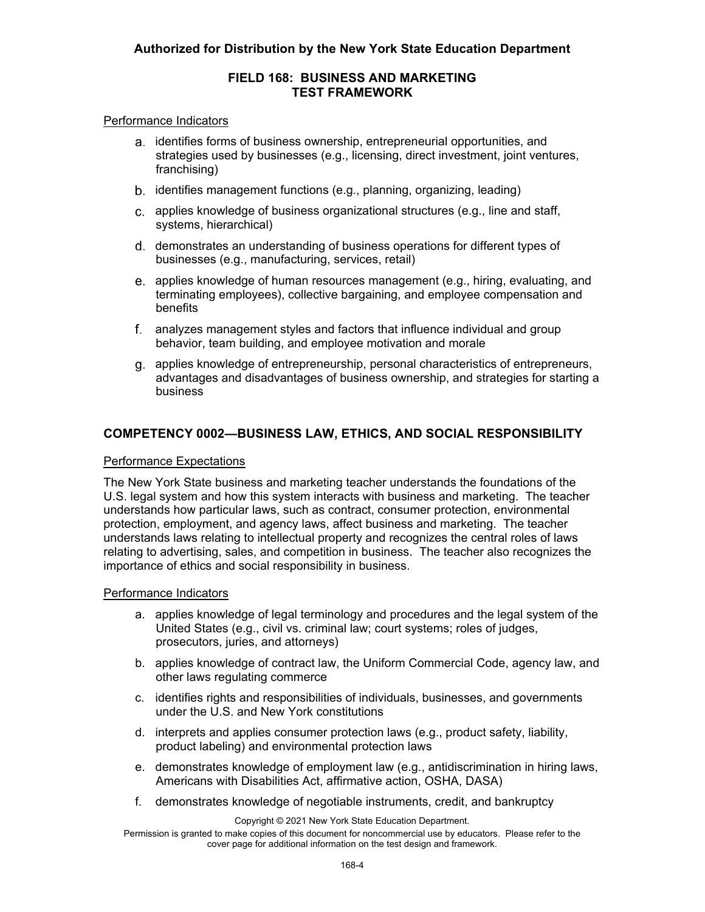# **Authorized for Distribution by the New York State Education Department**

# **FIELD 168: BUSINESS AND MARKETING TEST FRAMEWORK**

#### Performance Indicators

- a. identifies forms of business ownership, entrepreneurial opportunities, and strategies used by businesses (e.g., licensing, direct investment, joint ventures, franchising)
- b. identifies management functions (e.g., planning, organizing, leading)
- applies knowledge of business organizational structures (e.g., line and staff, systems, hierarchical)
- d. demonstrates an understanding of business operations for different types of businesses (e.g., manufacturing, services, retail)
- applies knowledge of human resources management (e.g., hiring, evaluating, and terminating employees), collective bargaining, and employee compensation and benefits
- analyzes management styles and factors that influence individual and group behavior, team building, and employee motivation and morale
- applies knowledge of entrepreneurship, personal characteristics of entrepreneurs, advantages and disadvantages of business ownership, and strategies for starting a business

# **COMPETENCY 0002—BUSINESS LAW, ETHICS, AND SOCIAL RESPONSIBILITY**

#### Performance Expectations

The New York State business and marketing teacher understands the foundations of the U.S. legal system and how this system interacts with business and marketing. The teacher understands how particular laws, such as contract, consumer protection, environmental protection, employment, and agency laws, affect business and marketing. The teacher understands laws relating to intellectual property and recognizes the central roles of laws relating to advertising, sales, and competition in business. The teacher also recognizes the importance of ethics and social responsibility in business.

#### Performance Indicators

- a. applies knowledge of legal terminology and procedures and the legal system of the United States (e.g., civil vs. criminal law; court systems; roles of judges, prosecutors, juries, and attorneys)
- b. applies knowledge of contract law, the Uniform Commercial Code, agency law, and other laws regulating commerce
- c. identifies rights and responsibilities of individuals, businesses, and governments under the U.S. and New York constitutions
- d. interprets and applies consumer protection laws (e.g., product safety, liability, product labeling) and environmental protection laws
- e. demonstrates knowledge of employment law (e.g., antidiscrimination in hiring laws, Americans with Disabilities Act, affirmative action, OSHA, DASA)
- f. demonstrates knowledge of negotiable instruments, credit, and bankruptcy

Copyright © 2021 New York State Education Department.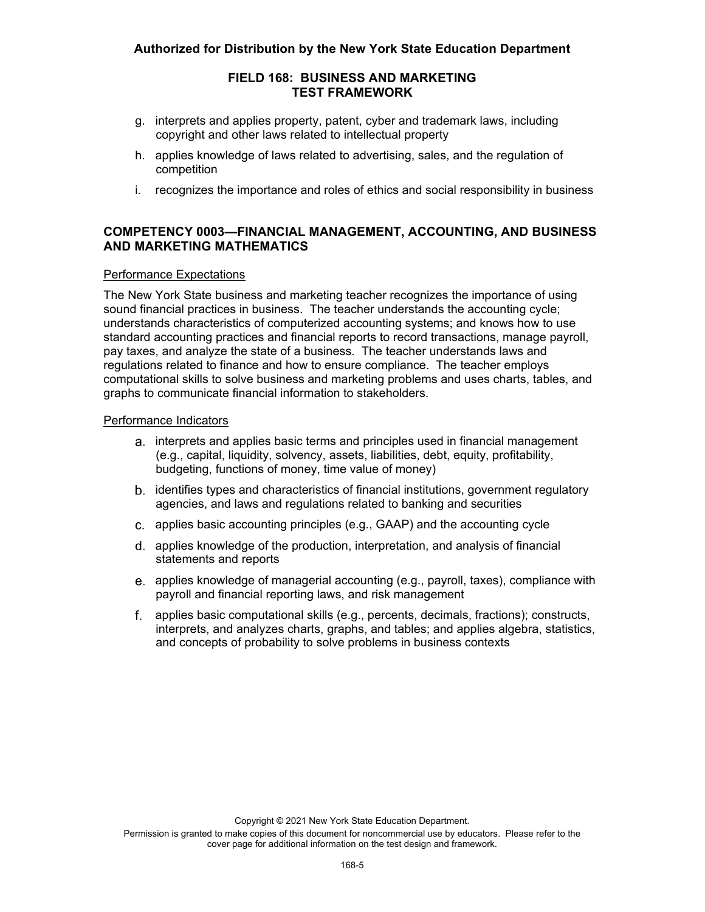# **Authorized for Distribution by the New York State Education Department**

### **FIELD 168: BUSINESS AND MARKETING TEST FRAMEWORK**

- g. interprets and applies property, patent, cyber and trademark laws, including copyright and other laws related to intellectual property
- h. applies knowledge of laws related to advertising, sales, and the regulation of competition
- i. recognizes the importance and roles of ethics and social responsibility in business

# **COMPETENCY 0003—FINANCIAL MANAGEMENT, ACCOUNTING, AND BUSINESS AND MARKETING MATHEMATICS**

#### Performance Expectations

The New York State business and marketing teacher recognizes the importance of using sound financial practices in business. The teacher understands the accounting cycle; understands characteristics of computerized accounting systems; and knows how to use standard accounting practices and financial reports to record transactions, manage payroll, pay taxes, and analyze the state of a business. The teacher understands laws and regulations related to finance and how to ensure compliance. The teacher employs computational skills to solve business and marketing problems and uses charts, tables, and graphs to communicate financial information to stakeholders.

#### Performance Indicators

- a. interprets and applies basic terms and principles used in financial management (e.g., capital, liquidity, solvency, assets, liabilities, debt, equity, profitability, budgeting, functions of money, time value of money)
- identifies types and characteristics of financial institutions, government regulatory agencies, and laws and regulations related to banking and securities
- applies basic accounting principles (e.g., GAAP) and the accounting cycle
- applies knowledge of the production, interpretation, and analysis of financial statements and reports
- applies knowledge of managerial accounting (e.g., payroll, taxes), compliance with payroll and financial reporting laws, and risk management
- applies basic computational skills (e.g., percents, decimals, fractions); constructs, interprets, and analyzes charts, graphs, and tables; and applies algebra, statistics, and concepts of probability to solve problems in business contexts

Copyright © 2021 New York State Education Department.

Permission is granted to make copies of this document for noncommercial use by educators. Please refer to the cover page for additional information on the test design and framework.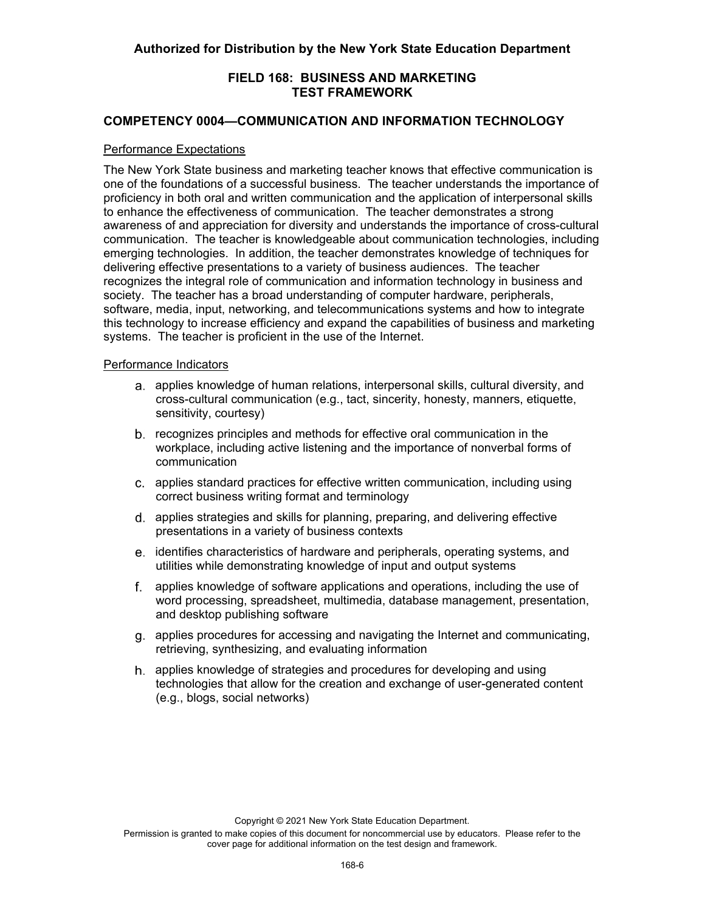# **COMPETENCY 0004—COMMUNICATION AND INFORMATION TECHNOLOGY**

#### Performance Expectations

 one of the foundations of a successful business. The teacher understands the importance of The New York State business and marketing teacher knows that effective communication is proficiency in both oral and written communication and the application of interpersonal skills to enhance the effectiveness of communication. The teacher demonstrates a strong awareness of and appreciation for diversity and understands the importance of cross-cultural communication. The teacher is knowledgeable about communication technologies, including emerging technologies. In addition, the teacher demonstrates knowledge of techniques for delivering effective presentations to a variety of business audiences. The teacher recognizes the integral role of communication and information technology in business and society. The teacher has a broad understanding of computer hardware, peripherals, software, media, input, networking, and telecommunications systems and how to integrate this technology to increase efficiency and expand the capabilities of business and marketing systems. The teacher is proficient in the use of the Internet.

#### Performance Indicators

- a. applies knowledge of human relations, interpersonal skills, cultural diversity, and cross-cultural communication (e.g., tact, sincerity, honesty, manners, etiquette, sensitivity, courtesy)
- recognizes principles and methods for effective oral communication in the workplace, including active listening and the importance of nonverbal forms of communication
- applies standard practices for effective written communication, including using correct business writing format and terminology
- d. applies strategies and skills for planning, preparing, and delivering effective presentations in a variety of business contexts
- identifies characteristics of hardware and peripherals, operating systems, and utilities while demonstrating knowledge of input and output systems
- applies knowledge of software applications and operations, including the use of word processing, spreadsheet, multimedia, database management, presentation, and desktop publishing software
- applies procedures for accessing and navigating the Internet and communicating, retrieving, synthesizing, and evaluating information
- applies knowledge of strategies and procedures for developing and using technologies that allow for the creation and exchange of user-generated content (e.g., blogs, social networks)

Copyright © 2021 New York State Education Department.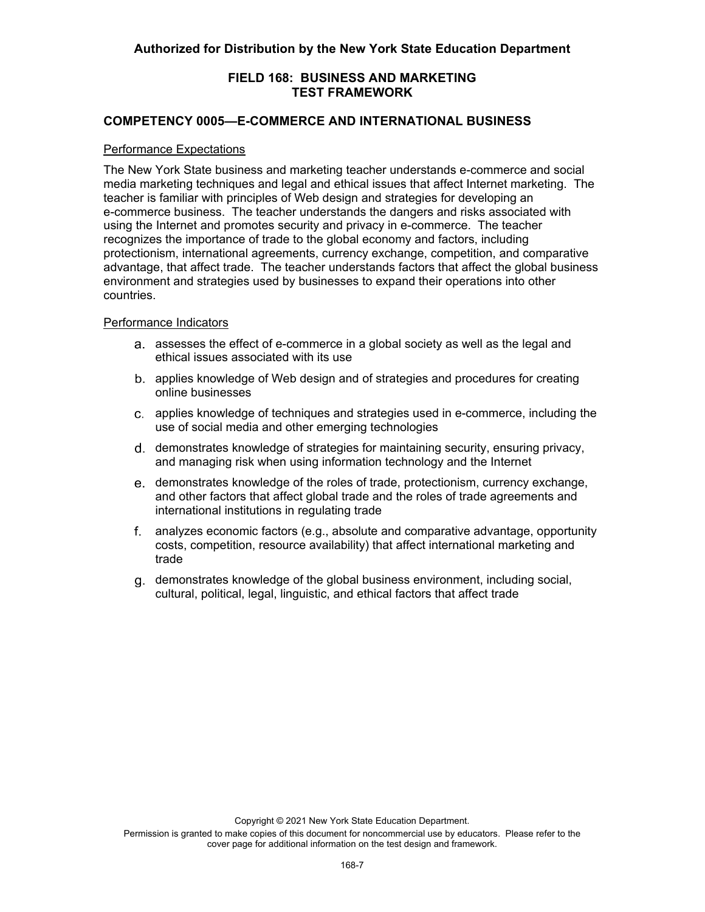# **COMPETENCY 0005—E-COMMERCE AND INTERNATIONAL BUSINESS**

#### Performance Expectations

The New York State business and marketing teacher understands e-commerce and social media marketing techniques and legal and ethical issues that affect Internet marketing. The teacher is familiar with principles of Web design and strategies for developing an e-commerce business. The teacher understands the dangers and risks associated with using the Internet and promotes security and privacy in e-commerce. The teacher recognizes the importance of trade to the global economy and factors, including protectionism, international agreements, currency exchange, competition, and comparative advantage, that affect trade. The teacher understands factors that affect the global business environment and strategies used by businesses to expand their operations into other countries.

#### Performance Indicators

- assesses the effect of e-commerce in a global society as well as the legal and ethical issues associated with its use
- applies knowledge of Web design and of strategies and procedures for creating online businesses
- applies knowledge of techniques and strategies used in e-commerce, including the use of social media and other emerging technologies
- d. demonstrates knowledge of strategies for maintaining security, ensuring privacy, and managing risk when using information technology and the Internet
- demonstrates knowledge of the roles of trade, protectionism, currency exchange, and other factors that affect global trade and the roles of trade agreements and international institutions in regulating trade
- analyzes economic factors (e.g., absolute and comparative advantage, opportunity costs, competition, resource availability) that affect international marketing and trade
- demonstrates knowledge of the global business environment, including social, cultural, political, legal, linguistic, and ethical factors that affect trade

Copyright © 2021 New York State Education Department.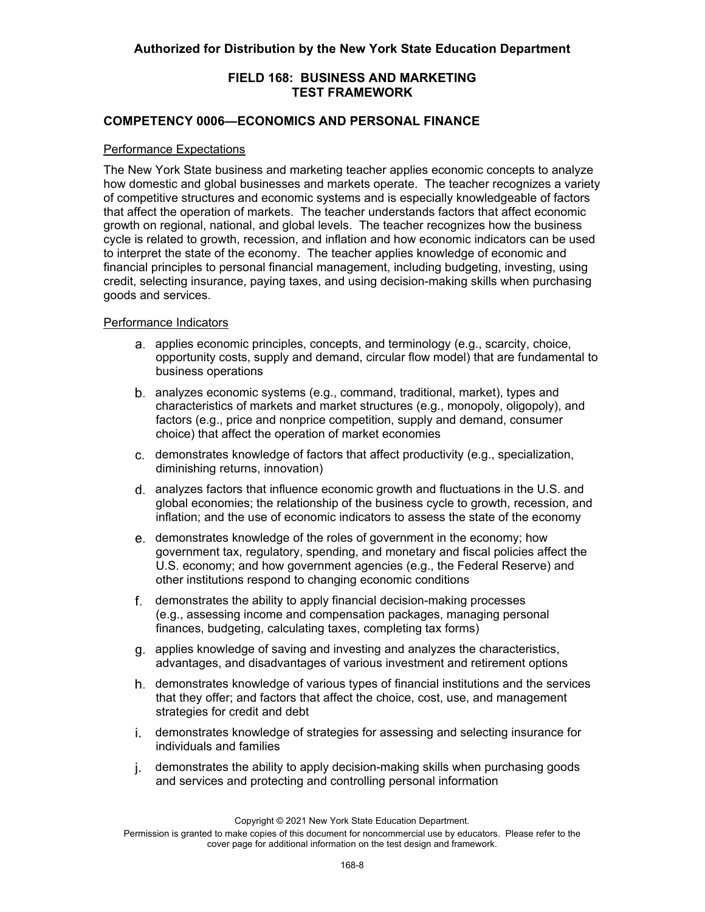# **COMPETENCY 0006—ECONOMICS AND PERSONAL FINANCE**

#### Performance Expectations

The New York State business and marketing teacher applies economic concepts to analyze how domestic and global businesses and markets operate. The teacher recognizes a variety of competitive structures and economic systems and is especially knowledgeable of factors that affect the operation of markets. The teacher understands factors that affect economic growth on regional, national, and global levels. The teacher recognizes how the business cycle is related to growth, recession, and inflation and how economic indicators can be used to interpret the state of the economy. The teacher applies knowledge of economic and financial principles to personal financial management, including budgeting, investing, using credit, selecting insurance, paying taxes, and using decision-making skills when purchasing goods and services.

#### Performance Indicators

- a. applies economic principles, concepts, and terminology (e.g., scarcity, choice, opportunity costs, supply and demand, circular flow model) that are fundamental to business operations
- analyzes economic systems (e.g., command, traditional, market), types and characteristics of markets and market structures (e.g., monopoly, oligopoly), and factors (e.g., price and nonprice competition, supply and demand, consumer choice) that affect the operation of market economies
- demonstrates knowledge of factors that affect productivity (e.g., specialization, diminishing returns, innovation)
- analyzes factors that influence economic growth and fluctuations in the U.S. and global economies; the relationship of the business cycle to growth, recession, and inflation; and the use of economic indicators to assess the state of the economy
- e. demonstrates knowledge of the roles of government in the economy; how government tax, regulatory, spending, and monetary and fiscal policies affect the U.S. economy; and how government agencies (e.g., the Federal Reserve) and other institutions respond to changing economic conditions
- demonstrates the ability to apply financial decision-making processes (e.g., assessing income and compensation packages, managing personal finances, budgeting, calculating taxes, completing tax forms)
- applies knowledge of saving and investing and analyzes the characteristics, advantages, and disadvantages of various investment and retirement options
- h. demonstrates knowledge of various types of financial institutions and the services that they offer; and factors that affect the choice, cost, use, and management strategies for credit and debt
- demonstrates knowledge of strategies for assessing and selecting insurance for individuals and families
- demonstrates the ability to apply decision-making skills when purchasing goods and services and protecting and controlling personal information

Copyright © 2021 New York State Education Department.

Permission is granted to make copies of this document for noncommercial use by educators. Please refer to the cover page for additional information on the test design and framework.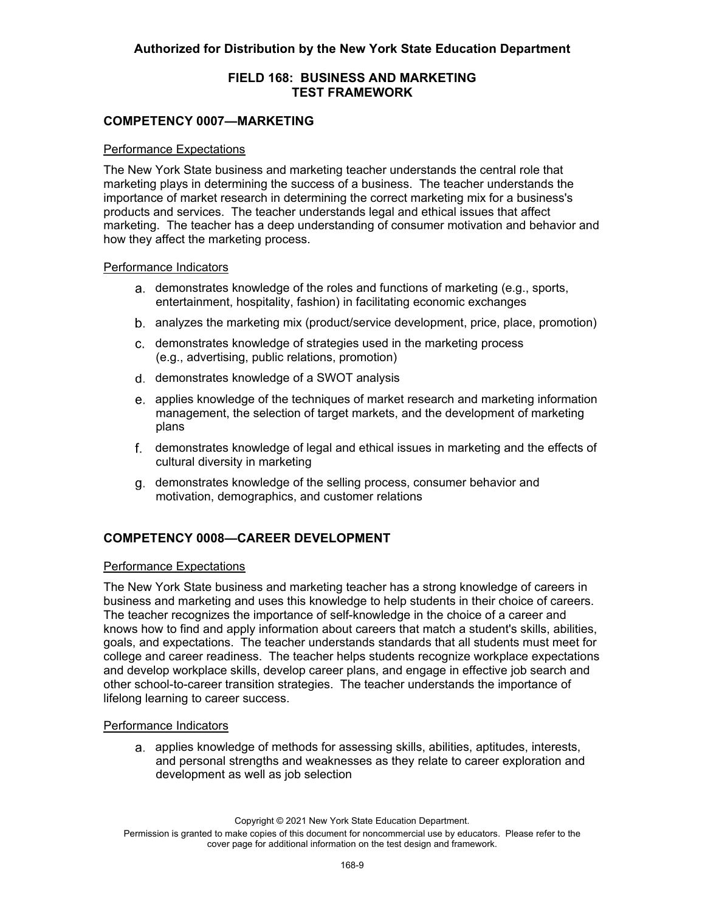# **COMPETENCY 0007—MARKETING**

#### Performance Expectations

The New York State business and marketing teacher understands the central role that marketing plays in determining the success of a business. The teacher understands the importance of market research in determining the correct marketing mix for a business's products and services. The teacher understands legal and ethical issues that affect marketing. The teacher has a deep understanding of consumer motivation and behavior and how they affect the marketing process.

#### Performance Indicators

- a. demonstrates knowledge of the roles and functions of marketing (e.g., sports, entertainment, hospitality, fashion) in facilitating economic exchanges
- analyzes the marketing mix (product/service development, price, place, promotion)
- demonstrates knowledge of strategies used in the marketing process (e.g., advertising, public relations, promotion)
- d. demonstrates knowledge of a SWOT analysis
- applies knowledge of the techniques of market research and marketing information management, the selection of target markets, and the development of marketing plans
- demonstrates knowledge of legal and ethical issues in marketing and the effects of cultural diversity in marketing
- demonstrates knowledge of the selling process, consumer behavior and motivation, demographics, and customer relations

# **COMPETENCY 0008—CAREER DEVELOPMENT**

#### Performance Expectations

The New York State business and marketing teacher has a strong knowledge of careers in business and marketing and uses this knowledge to help students in their choice of careers. The teacher recognizes the importance of self-knowledge in the choice of a career and knows how to find and apply information about careers that match a student's skills, abilities, goals, and expectations. The teacher understands standards that all students must meet for college and career readiness. The teacher helps students recognize workplace expectations and develop workplace skills, develop career plans, and engage in effective job search and other school-to-career transition strategies. The teacher understands the importance of lifelong learning to career success.

#### Performance Indicators

a. applies knowledge of methods for assessing skills, abilities, aptitudes, interests, and personal strengths and weaknesses as they relate to career exploration and development as well as job selection

Copyright © 2021 New York State Education Department.